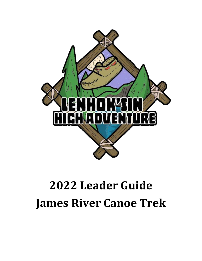

# **2022 Leader Guide James River Canoe Trek**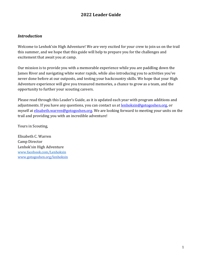#### *Introduction*

Welcome to Lenhok'sin High Adventure! We are very excited for your crew to join us on the trail this summer, and we hope that this guide will help to prepare you for the challenges and excitement that await you at camp.

Our mission is to provide you with a memorable experience while you are paddling down the James River and navigating white water rapids, while also introducing you to activities you've never done before at our outposts, and testing your backcountry skills. We hope that your High Adventure experience will give you treasured memories, a chance to grow as a team, and the opportunity to further your scouting careers.

Please read through this Leader's Guide, as it is updated each year with program additions and adjustments. If you have any questions, you can contact us at [lenhoksin@gotogoshen.org,](mailto:lenhoksin@gotogoshen.org) or myself at [elisabeth.warren@gotogoshen.org.](mailto:elisabeth.warren@gotogoshen.org) We are looking forward to meeting your units on the trail and providing you with an incredible adventure!

Yours in Scouting,

Elisabeth C. Warren Camp Director Lenhok'sin High Adventure www.facebook.com/Lenhoksin [www.gotogoshen.org/lenhoksin](http://www.gotogoshen.org/lenhoksin)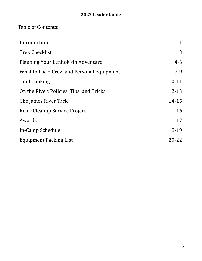#### Table of Contents:

| Introduction                              | 1         |
|-------------------------------------------|-----------|
| <b>Trek Checklist</b>                     | 3         |
| Planning Your Lenhok's in Adventure       | $4 - 6$   |
| What to Pack: Crew and Personal Equipment | $7-9$     |
| <b>Trail Cooking</b>                      | $10 - 11$ |
| On the River: Policies, Tips, and Tricks  | $12 - 13$ |
| The James River Trek                      | 14-15     |
| <b>River Cleanup Service Project</b>      | 16        |
| Awards                                    | 17        |
| In-Camp Schedule                          | 18-19     |
| <b>Equipment Packing List</b>             | 20-22     |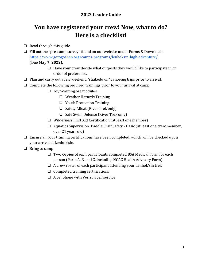### **You have registered your crew! Now, what to do? Here is a checklist!**

- ❏ Read through this guide.
- ❏ Fill out the "pre-camp survey" found on our website under Forms & Downloads <https://www.gotogoshen.org/camps-programs/lenhoksin-high-adventure/> (Due **May 7, 2022)**.
	- ❏ Have your crew decide what outposts they would like to participate in, in order of preference.
- ❏ Plan and carry out a few weekend "shakedown" canoeing trips prior to arrival.
- ❏ Complete the following required trainings prior to your arrival at camp.
	- ❏ My.Scouting.org modules
		- ❏ Weather Hazards Training
		- ❏ Youth Protection Training
		- ❏ Safety Afloat (River Trek only)
		- ❏ Safe Swim Defense (River Trek only)
	- ❏ Wilderness First Aid Certification (at least one member)
	- ❏ Aquatics Supervision: Paddle Craft Safety Basic (at least one crew member, over 21 years old)
- ❏ Ensure all your training certifications have been completed, which will be checked upon your arrival at Lenhok'sin.
- ❏ Bring to camp
	- ❏ **Two copies** of each participants completed BSA Medical Form for each person (Parts A, B, and C, including NCAC Health Advisory Form)
	- ❏ A crew roster of each participant attending your Lenhok'sin trek
	- ❏ Completed training certifications
	- ❏ A cellphone with Verizon cell service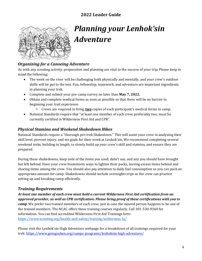

### *Planning your Lenhok'sin Adventure*

#### *Organizing for a Canoeing Adventure*

As with any scouting activity, preparation and planning are vital to the success of your trip. Please keep in mind the following:

- The week on the river will be challenging both physically and mentally, and your crew's outdoor skills will be put to the test. Fun, fellowship, teamwork, and adventure are important ingredients in planning your trek.
- Complete and submit your pre-camp survey no later than **May 7, 2022.**
- Obtain and complete medical forms as soon as possible so that there will be no barrier to beginning your trail experience.
	- Crews are required to bring **two** copies of each participant's medical forms to camp.
- National Standards require that "at least one member of each crew, preferably two, must be currently certified in Wilderness First Aid and CPR".

#### *Physical Stamina and Weekend Shakedown Hikes*

National Standards require a "thorough pre-trek Shakedown." This will assist your crew in analyzing their skill level, prevent injury, and set goals for their week at Lenhok'sin. We recommend completing several weekend treks, building in length, to slowly build up your crew's skill and stamina, and ensure they are prepared.

During these shakedowns, keep note of the items you used, didn't use, and any you should have brought but left behind. Have your crew brainstorm ways to lighten their packs, leaving excess items behind and sharing items among the crew. You should also pay attention to daily fuel consumption so you can pack an appropriate amount for camp. Shakedowns should include overnights trips so the crew can practice setting up and breaking camp efficiently.

#### *Training Requirements*

*At least one member of each crew must hold a current Wilderness First Aid certification from an approved provider, as well as CPR certification. Please bring proof of these certifications with you to camp*. We prefer two trained members of each crew, just in case the injured person happens to be one of the trained members. The NCAC offers these training courses regularly. Call 301-530-9360 for information. You can find accredited Wilderness First Aid Trainings here: <https://www.scouting.org/health-and-safety/training/wilderness-fa/>

Please visit the Lenhok'sin High Adventure webpage for a breakdown of all trainings required for your trek[: https://www.gotogoshen.org/camps-programs/lenhoksin-high-adventure/](https://www.gotogoshen.org/camps-programs/lenhoksin-high-adventure/)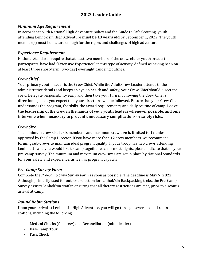#### *Minimum Age Requirement*

In accordance with National High Adventure policy and the Guide to Safe Scouting, youth attending Lenhok'sin High Adventure **must be 13 years old** by September 1, 2022. The youth member(s) must be mature enough for the rigors and challenges of high adventure.

#### *Experience Requirement*

National Standards require that at least two members of the crew, either youth or adult participants, have had "Extensive Experience" in this type of activity, defined as having been on at least three short-term (two-day) overnight canoeing outings.

#### *Crew Chief*

Your primary youth leader is the Crew Chief. While the Adult Crew Leader attends to the administrative details and keeps an eye on health and safety, your Crew Chief should direct the crew. Delegate responsibility early and then take your turn in following the Crew Chief's direction—just as you expect that your directions will be followed. Ensure that your Crew Chief understands the program, the skills, the award requirements, and daily routine of camp. **Leave the leadership of the crew in the hands of your youth leaders whenever possible, and only intervene when necessary to prevent unnecessary complications or safety risks.**

#### *Crew Size*

The minimum crew size is six members, and maximum crew size **is limited** to 12 unless approved by the Camp Director. If you have more than 12 crew members, we recommend forming sub-crews to maintain ideal program quality. If your troop has two crews attending Lenhok'sin and you would like to camp together each or most nights, please indicate that on your pre-camp survey. The minimum and maximum crew sizes are set in place by National Standards for your safety and experience, as well as program capacity.

#### *Pre-Camp Survey Form*

Complete the *Pre-Camp Crew Survey Form* as soon as possible. The deadline is **May 7, 2022**. Although primarily used for outpost selection for Lenhok'sin Backpacking treks, the Pre-Camp Survey assists Lenhok'sin staff in ensuring that all dietary restrictions are met, prior to a scout's arrival at camp.

#### *Round Robin Stations*

Upon your arrival at Lenhok'sin High Adventure, you will go through several round robin stations, including the following:

- Medical Checks (full crew) and Reconciliation (adult leader)
- Base Camp Tour
- Pack Check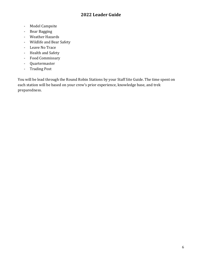- Model Campsite
- Bear Bagging
- Weather Hazards
- Wildlife and Bear Safety
- Leave No Trace
- Health and Safety
- Food Commissary
- Quartermaster
- Trading Post

You will be lead through the Round Robin Stations by your Staff Site Guide. The time spent on each station will be based on your crew's prior experience, knowledge base, and trek preparedness.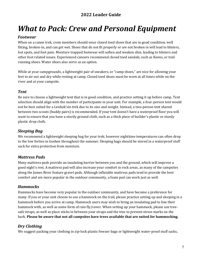### *What to Pack: Crew and Personal Equipment*

#### *Footwear*

When on a canoe trek, crem members should wear closed toed shoes that are in good condition, well fitting, broken-in, and can get wet. Shoes that do not fit properly or are not broken in will lead to blisters, hot spots, and foot pain. Moisture trapped footwear will soften and weaken skin, leading to blisters and other foot related issues. Experienced canoers recommend closed toed sandals, such as Keens, or trail running shoes. Water shoes also serve as an option.

While at your campgrounds, a lightweight pair of sneakers, or "camp shoes," are nice for allowing your feet to air out and dry while resting at camp. Closed toed shoes must be worn at all times while on the river and at your campsite.

#### *Tent*

Be sure to choose a lightweight tent that is in good condition, and practice setting it up before camp. Tent selection should align with the number of participants in your unit. For example, a four-person tent would not be best suited for a Lenhok'sin trek due to its size and weight. Instead, a two-person tent shared between two scouts (buddy pairs) is recommended. If your tent doesn't have a waterproof floor you will want to ensure that you have a sturdy ground cloth, such as a thick piece of builder's plastic or sturdy plastic drop cloth.

#### *Sleeping Bag*

We recommend a lightweight sleeping bag for your trek; however nighttime temperatures can often drop to the low forties in Goshen throughout the summer. Sleeping bags should be stored in a waterproof stuff sack for extra protection from moisture.

#### *Mattress Pads*

Many mattress pads provide an insulating barrier between you and the ground, which will improve a good night's rest. A mattress pad will also increase your comfort in rock areas, as many of the campsites along the James River feature gravel pads. Although inflatable mattress pads tend to provide the best comfort and are more popular in the outdoor community, a foam pad can work just as well.

#### *Hammocks*

Hammocks have become very popular in the outdoor community, and have become a preference for many. If you or your unit choose to use a hammock on the trail, please practice setting up and sleeping in a hammock before you arrive at camp. Hammock users may wish to bring an insulating pad to line their hammock with, as well as some form of rain fly/cover. When setting up your hammock, please use treesafe straps, as well as place sticks in between your straps and the tree to prevent stress marks on the bark. **Please be aware that not all campsites have trees available that are suited for hammocking.**

#### *Dry Clothing*

We suggest packing your clothing in zip-lock plastic freezer bags or lightweight water-proof stuff sacks**.**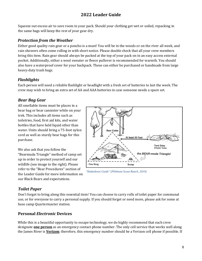Squeeze out excess air to save room in your pack. Should your clothing get wet or soiled, repacking in the same bags will keep the rest of your gear dry.

#### *Protection from the Weather*

Either good quality rain gear or a poncho is a must! You will be in the woods or on the river all week, and rain showers often come rolling in with short notice. Please double check that all your crew members bring this item. Rain gear should always be packed at the top of your pack on in an easy access external pocket. Additionally, either a wool sweater or fleece pullover is recommended for warmth. You should also have a waterproof cover for your backpack. These can either be purchased or handmade from large heavy-duty trash bags.

#### *Flashlights*

Each person will need a reliable flashlight or headlight with a fresh set of batteries to last the week. The crew may wish to bring an extra set of AA and AAA batteries in case someone needs a spare set.

#### *Bear Bag Gear*

All smellable items must be places in a bear bag or bear cannister while on your trek. This includes all items such as toiletries, food, first aid kits, and water bottles that have held liquid other than water. Units should bring a 75-foot nylon cord as well as sturdy bear bags for this purchase.

We also ask that you follow the "Bearmuda Triangle" method of camp set up in order to protect yourself and our wildlife (see image to the right). Please refer to the "Bear Procedures" section of the Leader Guide for more information on our Black Bears and expectations.



*"Shakedown Guide" (Philmont Scout Ranch, 2019)*

#### *Toilet Paper*

Don't forget to bring along this essential item! You can choose to carry rolls of toilet paper for communal use, or for everyone to carry a personal supply. If you should forget or need more, please ask for some at base camp Quartermaster station.

#### **Personal** *Electronic* **Devices**

While this is a beautiful opportunity to escape technology, we do highly recommend that each crew designate **one person** as an emergency contact phone number. The only cell service that works well along the James River is **Verizon**; therefore, this emergency number should be a Verizon cell phone if possible. If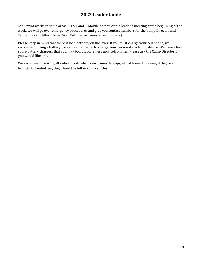not, Sprint works in some areas; AT&T and T-Mobile do not. At the leader's meeting at the beginning of the week, we will go over emergency procedures and give you contact numbers for the Camp Director and Canoe Trek Outfitter (Twin River Outfitter or James River Runners).

Please keep in mind that there is no electricity on the river. If you must charge your cell phone, we recommend using a battery pack or a solar panel to charge your personal electronic device. We have a few spare battery chargers that you may borrow for emergency cell phones. Please ask the Camp Director if you would like one.

We recommend leaving all radios, iPods, electronic games, laptops, etc. at home. However, if they are brought to Lenhok'sin, they should be left in your vehicles.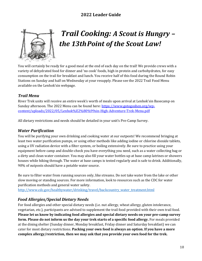

### *Trail Cooking: A Scout is Hungry – the 13thPoint of the Scout Law!*

You will certainly be ready for a good meal at the end of each day on the trail! We provide crews with a variety of dehydrated food for dinner and 'no cook' foods, high in protein and carbohydrates, for easy consumption on the trail for breakfast and lunch. You receive half of this food during the Round Robin Stations on Sunday and half on Wednesday at your resupply. Please see the 2022 Trail Food Menu available on the Lenhok'sin webpage.

#### *Trail Menu*

River Trek units will receive an entire week's worth of meals upon arrival at Lenhok'sin Basecamp on Sunday afternoon. The 2022 Menu can be found here: [https://www.gotogoshen.org/wp](https://www.gotogoshen.org/wp-content/uploads/2022/05/Lenhok%E2%80%99sin-High-Adventure-Trek-Menu.pdf)[content/uploads/2022/05/Lenhok%E2%80%99sin-High-Adventure-Trek-Menu.pdf](https://www.gotogoshen.org/wp-content/uploads/2022/05/Lenhok%E2%80%99sin-High-Adventure-Trek-Menu.pdf)

All dietary restrictions and needs should be detailed in your unit's Pre-Camp Survey.

#### *Water Purification*

You will be purifying your own drinking and cooking water at our outposts! We recommend bringing at least two water purification pumps, or using other methods like adding iodine or chlorine dioxide tablets, using a UV radiation device with a filter system, or boiling extensively. Be sure to practice using your equipment before camp and double-check you have everything you need, such as a water collecting bag or a dirty and clean water container. You may also fill your water bottles up at base camp latrines or showers houses while hiking through. The water at base camps is tested regularly and is safe to drink. Additionally, 90% of outposts should have a potable water source.

Be sure to filter water from running sources only, like streams. Do not take water from the lake or other slow moving or standing sources. For more information, look to resources such as the CDC for water purification methods and general water safety. [http://www.cdc.gov/healthywater/drinking/travel/backcountry\\_water\\_treatment.html](http://www.cdc.gov/healthywater/drinking/travel/backcountry_water_treatment.html)

#### *Food Allergies/Special Dietary Needs*

For food allergies and other special dietary needs (i.e. nut allergy, wheat allergy, gluten intolerance, vegetarian, etc.), participants are advised to supplement the trail food provided with their own trail food. **Please let us know by indicating food allergies and special dietary needs on your pre-camp survey form. Please do not inform us the day your trek starts of a specific food allergy.** For meals provided at the dining shelter (Sunday dinner, Monday breakfast, Friday dinner and Saturday breakfast) we can cater for most dietary restrictions. **Packing your own food is always an option. If you have a more complex allergy/restriction, then we may ask that you provide your own food for the trek.**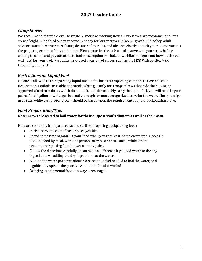#### *Camp Stoves*

We recommend that the crew use single burner backpacking stoves. Two stoves are recommended for a crew of eight, but a third one may come in handy for larger crews. In keeping with BSA policy, adult advisors must demonstrate safe use, discuss safety rules, and observe closely as each youth demonstrates the proper operation of this equipment. Please practice the safe use of a stove with your crew before coming to camp, and pay attention to fuel consumption on shakedown hikes to figure out how much you will need for your trek. Past units have used a variety of stoves, such as the MSR Whisperlite, MSR Dragonfly, and JetBoil.

#### *Restrictions on Liquid Fuel*

No one is allowed to transport any liquid fuel on the buses transporting campers to Goshen Scout Reservation. Lenhok'sin is able to provide white gas **only** for Troops/Crews that ride the bus. Bring approved, aluminum flasks which do not leak, in order to safely carry the liquid fuel, you will need in your packs. A half-gallon of white gas is usually enough for one average sized crew for the week. The type of gas used (e.g., white gas, propane, etc.) should be based upon the requirements of your backpacking stove.

#### *Food Preparation/Tips*

#### **Note: Crews are asked to boil water for their outpost staff's dinners as well as their own.**

Here are some tips from past crews and staff on preparing backpacking food:

- Pack a crew spice kit of basic spices you like
- Spend some time organizing your food when you receive it. Some crews find success in dividing food by meal, with one person carrying an entire meal, while others recommend splitting food between buddy pairs.
- Follow the directions carefully; it can make a difference if you add water to the dry ingredients vs. adding the dry ingredients to the water.
- A lid on the water pot saves about 40 percent on fuel needed to boil the water, and significantly speeds the process. Aluminum foil also works!
- Bringing supplemental food is always encouraged.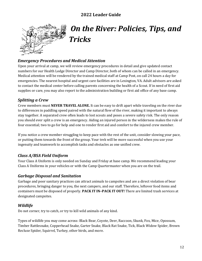

### *On the River: Policies, Tips, and Tricks*

#### *Emergency Procedures and Medical Attention*

Upon your arrival at camp, we will review emergency procedures in detail and give updated contact numbers for our Health Lodge Director and Camp Director, both of whom can be called in an emergency. Medical attention will be rendered by the trained medical staff at Camp Post, on call 24 hours a day for emergencies. The nearest hospital and urgent care facilities are in Lexington, VA. Adult advisors are asked to contact the medical center before calling parents concerning the health of a Scout. If in need of first aid supplies or care, you may also report to the administration building or first aid office of any base camp.

#### *Splitting a Crew*

Crew members must **NEVER TRAVEL ALONE.** It can be easy to drift apart while traveling on the river due to differences in paddling speed paired with the natural flow of the river, making it important to always stay together. A separated crew often leads to lost scouts and poses a severe safety risk. The only reason you should ever split a crew is an emergency. Aiding an injured person in the wilderness makes the rule of four essential; two to go for help and one to render first aid and comfort to the injured crew member.

If you notice a crew member struggling to keep pace with the rest of the unit, consider slowing your pace, or putting them towards the front of the group. Your trek will be more successful when you use your ingenuity and teamwork to accomplish tasks and obstacles as one unified crew.

#### *Class A/BSA Field Uniform*

Your Class A Uniform is only needed on Sunday and Friday at base camp. We recommend leading your Class A Uniforms in your vehicles or with the Camp Quartermaster when you are on the trail.

#### *Garbage Disposal and Sanitation*

Garbage and poor sanitary practices can attract animals to campsites and are a direct violation of bear procedures, bringing danger to you, the next campers, and our staff. Therefore, leftover food items and containers must be disposed of properly. **PACK IT IN–PACK IT OUT!** There are limited trash services at designated campsites.

#### *Wildlife*

Do not corner, try to catch, or try to kill wild animals of any kind.

Types of wildlife you may come across: Black Bear, Coyote, Deer, Raccoon, Skunk, Fox, Mice, Opossum, Timber Rattlesnake, Copperhead Snake, Garter Snake, Black Rat Snake, Tick, Black Widow Spider, Brown Recluse Spider, Squirrel, Turkey, other birds, and more.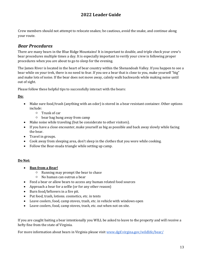Crew members should not attempt to relocate snakes; be cautious, avoid the snake, and continue along your route.

#### *Bear Procedures*

There are many bears in the Blue Ridge Mountains! It is important to double, and triple check your crew's bear procedures multiple times a day. It is especially important to verify your crew is following proper procedures when you are about to go to sleep for the evening.

The James River is located in the heart of bear country within the Shenandoah Valley. If you happen to see a bear while on your trek, there is no need to fear. If you see a bear that is close to you, make yourself "big" and make lots of noise. If the bear does not move away, calmly walk backwards while making noise until out of sight.

Please follow these helpful tips to successfully interact with the bears:

#### **Do:**

- Make sure food/trash (anything with an odor) is stored in a bear resistant container. Other options include:
	- Trunk of car
	- bear bag hung away from camp
- Make noise while traveling (but be considerate to other visitors).
- If you have a close encounter, make yourself as big as possible and back away slowly while facing the bear.
- Travel in groups.
- Cook away from sleeping area, don't sleep in the clothes that you wore while cooking.
- Follow the Bear-muda triangle while setting up camp.

#### **Do Not:**

- **Run from a Bear!**
	- Running may prompt the bear to chase
	- No human can outrun a bear
- Feed a bear or allow bears to access any human related food sources
- Approach a bear for a selfie (or for any other reason)
- Burn food/leftovers in a fire pit.
- Put food, trash, lotions. cosmetics, etc. in tents
- Leave coolers, food, camp stoves, trash, etc. in vehicle with windows open
- Leave coolers, food, camp stoves, trash, etc. out when not on site.

If you are caught baiting a bear intentionally you WILL be asked to leave to the property and will receive a hefty fine from the state of Virginia.

For more information about bears in Virginia please visit [www.dgif.virgina.gov/wildlife/bear/](http://www.dgif.virgina.gov/wildlife/bear/)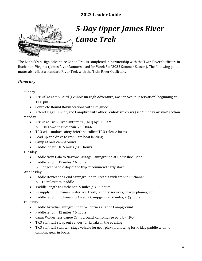

## *5-Day Upper James River Canoe Trek*

The Lenhok'sin High Adventure Canoe Trek is completed in partnership with the Twin River Outfitters in Buchanan, Virginia (James River Runners used for Week 3 of 2022 Summer Season). The following guide materials reflect a standard River Trek with the Twin River Outfitters.

#### *Itinerary*

Sunday

- Arrival at Camp Baird (Lenhok'sin High Adventure, Goshen Scout Reservation) beginning at 1:00 pm
- Complete Round Robin Stations with site guide
- Attend Flags, Dinner, and Campfire with other Lenhok'sin crews (see "Sunday Arrival" section) Monday
	- Arrive at Twin River Outfitters (TRO) by 9:00 AM
		- o 640 Lowe St, Buchanan, VA 24066
	- TRO will conduct safety brief and collect TRO release forms
	- Load up and drive to Iron Gate boat landing.
	- Camp at Gala campground
	- Paddle length: 10.5 miles / 4.5 hours

#### Tuesday

- Paddle from Gala to Narrow Passage Campground at Horseshoe Bend
- Paddle length: 17 miles / 6 hours
	- o longest paddle day of the trip, recommend early start

#### Wednesday

- Paddle Horseshoe Bend campground to Arcadia with stop in Buchanan
	- o 15 miles total paddle
- Paddle length to Buchanan: 9 miles / 3 4 hours
- Resupply in Buchanan: water, ice, trash, laundry services, charge phones, etc.
- Paddle length Buchanan to Arcadia Campground: 6 miles, 2  $\frac{1}{2}$  hours

#### Thursday

- Paddle Arcadia Campground to Wilderness Canoe Campground
- Paddle length: 12 miles / 5 hours
- Camp Wilderness Canoe Campground, camping fee paid by TRO
- TRO staff will swap out canoes for kayaks in the evening
- TRO staff will staff will stage vehicle for gear pickup, allowing for Friday paddle with no camping gear in boats.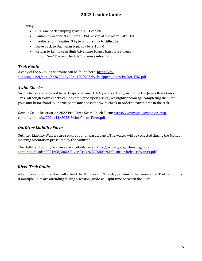Friday

- 8:30 am: pack camping gear in TRO vehicle
- Launch by around 9 am, for a 1 PM pickup at Snowden Take Out
- Paddle length: 7 miles,  $3\frac{1}{2}$  to 4 hours due to difficulty
- Drive back to Buchanan typically by 2:15 PM
- Return to Lenhok'sin High Adventure (Camp Baird Base Camp)
	- o See "Friday Schedule" for more information

#### *Trek Route*

A copy of the 63 mile trek route can be found here[: https://fh](https://fh-sites.imgix.net/sites/448/2019/09/11202907/Web_Upper-James-Packet_TRO.pdf)[sites.imgix.net/sites/448/2019/09/11202907/Web\\_Upper-James-Packet\\_TRO.pdf](https://fh-sites.imgix.net/sites/448/2019/09/11202907/Web_Upper-James-Packet_TRO.pdf)

#### *Swim Checks*

Swim checks are required to participate an any BSA Aquatics activity, including the James River Canoe Trek. Although swim checks can be completed upon arrival, we highly encourage completing them for your unit beforehand. All participants must pass the swim check in order to participate in the trek.

Goshen Scout Reservation 2022 Pre-Camp Swim Check Form: [https://www.gotogoshen.org/wp](https://www.gotogoshen.org/wp-content/uploads/2021/11/2022-Swim-Check-Form.pdf)[content/uploads/2021/11/2022-Swim-Check-Form.pdf](https://www.gotogoshen.org/wp-content/uploads/2021/11/2022-Swim-Check-Form.pdf)

#### *Outfitter Liability Form*

Outfitter Liability Waivers are required for all participants. The waiter will be collected during the Monday morning orientation presented by the outfitter.

The Outfitter Liability Waivers are available here[: https://www.gotogoshen.org/wp](https://www.gotogoshen.org/wp-content/uploads/2021/08/2022-River-Trek-%E2%80%93-Outfitter-Release-Waiver.pdf)[content/uploads/2021/08/2022-River-Trek-%E2%80%93-Outfitter-Release-Waiver.pdf](https://www.gotogoshen.org/wp-content/uploads/2021/08/2022-River-Trek-%E2%80%93-Outfitter-Release-Waiver.pdf)

#### *River Trek Guide*

A Lenhok'sin Staff member will attend the Monday and Tuesday portion of the James River Trek with units. If multiple units are attending during a session, guide will split time between the units.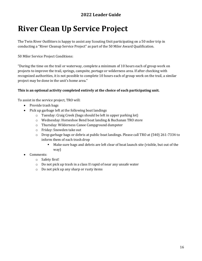### **River Clean Up Service Project**

The Twin River Outfitters is happy to assist any Scouting Unit participating on a 50 miler trip in conducting a "River Cleanup Service Project" as part of the 50 Miler Award Qualification.

50 Miler Service Project Conditions:

"During the time on the trail or waterway, complete a minimum of 10 hours each of group work on projects to improve the trail, springs, campsite, portage or wilderness area. If after checking with recognized authorities, it is not possible to complete 10 hours each of group work on the trail, a similar project may be done in the unit's home area."

#### **This is an optional activity completed entirely at the choice of each participating unit.**

To assist in the service project, TRO will:

- Provide trash bags
- Pick up garbage left at the following boat landings
	- o Tuesday: Craig Creek (bags should be left in upper parking lot)
	- o Wednesday: Horseshoe Bend boat landing & Buchanan TRO store
	- o Thursday: Wilderness Canoe Campground dumpster
	- o Friday: Snowden take out
	- o Drop garbage bags or debris at public boat landings. Please call TRO at (540) 261-7334 to inform them of each trash drop
		- Make sure bags and debris are left clear of boat launch site (visible, but out of the way)
- Comments:
	- o Safety first!
	- o Do not pick up trash in a class II rapid of near any unsafe water
	- o Do not pick up any sharp or rusty items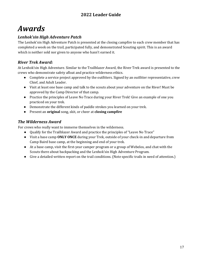### *Awards*

#### *Lenhok'sin High Adventure Patch*

The Lenhok'sin High Adventure Patch is presented at the closing campfire to each crew member that has completed a week on the trail, participated fully, and demonstrated Scouting spirit. This is an award which is neither sold nor given to anyone who hasn't earned it.

#### *River Trek Award:*

At Lenhok'sin High Adventure. Similar to the Trailblazer Award, the River Trek award is presented to the crews who demonstrate safety afloat and practice wilderness ethics.

- Complete a service project approved by the outfitters. Signed by an outfitter representative, crew Chief, and Adult Leader.
- Visit at least one base camp and talk to the scouts about your adventure on the River! Must be approved by the Camp Director of that camp.
- Practice the principles of Leave No Trace during your River Trek! Give an example of one you practiced on your trek.
- Demonstrate the different kinds of paddle strokes you learned on your trek.
- Present an **original** song, skit, or cheer at **closing campfire**

#### *The Wilderness Award*

For crews who really want to immerse themselves in the wilderness.

- Qualify for the Trailblazer Award and practice the principles of "Leave No Trace"
- Visit a base camp **ONLY ONCE** during your Trek, outside of your check-in and departure from Camp Baird base camp, at the beginning and end of your trek.
- At a base camp, visit the first-year camper program or a group of Webelos, and chat with the Scouts there about backpacking and the Lenhok'sin High Adventure Program.
- Give a detailed written report on the trail conditions. (Note specific trails in need of attention.)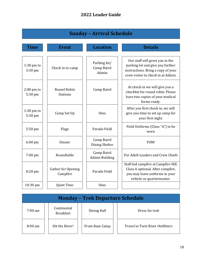| <b>Sunday - Arrival Schedule</b> |                                |                                     |                                                                                                                                                |  |
|----------------------------------|--------------------------------|-------------------------------------|------------------------------------------------------------------------------------------------------------------------------------------------|--|
| <b>Time</b>                      | <b>Event</b>                   | <b>Location</b>                     | <b>Details</b>                                                                                                                                 |  |
| $1:30$ pm to<br>$3:30$ pm        | Check in to camp               | Parking lot/<br>Camp Baird<br>Admin | Our staff will greet you in the<br>parking lot and give you further<br>instructions. Bring a copy of your<br>crew roster to check in at Admin. |  |
| $2:00 \text{ pm}$ to<br>5:30 pm  | Round Robin<br><b>Stations</b> | Camp Baird                          | At check-in we will give you a<br>checklist for round robin. Please<br>have two copies of your medical<br>forms ready.                         |  |
| $1:30$ pm to<br>5:30 pm          | Camp Set Up                    | <b>Sites</b>                        | After you first check in, we will<br>give you time to set up camp for<br>your first night.                                                     |  |
| 5:50 pm                          | Flags                          | Parade Field                        | Field Uniforms (Class "A") to be<br>worn                                                                                                       |  |
| $6:00$ pm                        | Dinner                         | Camp Baird<br>Dining Shelter        | YUM!                                                                                                                                           |  |
| 7:00 pm                          | Roundtable                     | Camp Baird<br><b>Admin Building</b> | For Adult Leaders and Crew Chiefs                                                                                                              |  |
| 8:20 pm                          | Gather for Opening<br>Campfire | Parade Field                        | Staff-led campfire at Campfire Hill.<br>Class A optional. After campfire,<br>you may leave uniforms in your<br>vehicle or quartermaster.       |  |
| 10:30 pm                         | Quiet Time                     | <b>Sites</b>                        |                                                                                                                                                |  |

| <b>Monday - Trek Departure Schedule</b> |                                 |                |                                 |
|-----------------------------------------|---------------------------------|----------------|---------------------------------|
| $7:00 \text{ am}$                       | Continental<br><b>Breakfast</b> | Dining Hall    | Dress for trek                  |
| $8:00 \text{ am}$                       | Hit the River!                  | From Base Camp | Travel to Twin River Outfitters |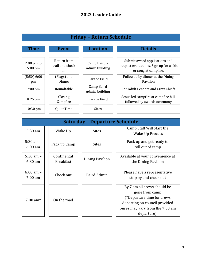| Friday – Return Schedule          |                                      |                                       |                                                                                                  |
|-----------------------------------|--------------------------------------|---------------------------------------|--------------------------------------------------------------------------------------------------|
| <b>Time</b>                       | <b>Event</b>                         | <b>Location</b>                       | <b>Details</b>                                                                                   |
| $2:00 \text{ pm}$ to<br>$5:00$ pm | Return from<br>trail and check<br>in | Camp Baird -<br><b>Admin Building</b> | Submit award applications and<br>outpost evaluations. Sign up for a skit<br>or song at campfire. |
| (5:50) 6:00<br>pm                 | (Flags) and<br>Dinner                | Parade Field                          | Followed by dinner at the Dining<br>Pavilion                                                     |
| $7:00 \text{ pm}$                 | Roundtable                           | Camp Baird<br>Admin building          | For Adult Leaders and Crew Chiefs                                                                |
| $8:25$ pm                         | Closing<br>Campfire                  | Parade Field                          | Scout-led campfire at campfire hill,<br>followed by awards ceremony                              |
| $10:30 \text{ pm}$                | Quiet Time                           | <b>Sites</b>                          |                                                                                                  |

| <b>Saturday - Departure Schedule</b>      |  |                                 |  |                        |                                                                                                                                                                |
|-------------------------------------------|--|---------------------------------|--|------------------------|----------------------------------------------------------------------------------------------------------------------------------------------------------------|
| $5:30$ am                                 |  | Wake Up                         |  | <b>Sites</b>           | Camp Staff Will Start the<br><b>Wake-Up Process</b>                                                                                                            |
| $5:30$ am $-$<br>$6:00 \text{ am}$        |  | Pack up Camp                    |  | <b>Sites</b>           | Pack up and get ready to<br>roll out of camp                                                                                                                   |
| $5:30$ am $-$<br>6:30 am                  |  | Continental<br><b>Breakfast</b> |  | <b>Dining Pavilion</b> | Available at your convenience at<br>the Dining Pavilion                                                                                                        |
| $6:00 \text{ am } -$<br>$7:00 \text{ am}$ |  | Check out                       |  | <b>Baird Admin</b>     | Please have a representative<br>stop by and check out                                                                                                          |
| $7:00 \text{ am*}$                        |  | On the road                     |  |                        | By 7 am all crews should be<br>gone from camp<br>(*Departure time for crews<br>departing on council provided<br>buses may vary from the 7:00 am<br>departure). |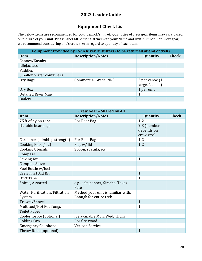#### **Equipment Check List**

The below items are recommended for your Lenhok'sin trek. Quantities of crew gear items may vary based on the size of your unit. Please label **all** personal items with your Name and Unit Number. For Crew gear, we recommend considering one's crew size in regard to quantity of each item.

| Equipment Provided by Twin River Outfitters (to be returned at end of trek) |                          |                 |              |  |
|-----------------------------------------------------------------------------|--------------------------|-----------------|--------------|--|
| Item                                                                        | <b>Description/Notes</b> | Quantity        | <b>Check</b> |  |
| Canoes/Kayaks                                                               |                          |                 |              |  |
| Lifejackets                                                                 |                          |                 |              |  |
| Paddles                                                                     |                          |                 |              |  |
| 5 Gallon water containers                                                   |                          |                 |              |  |
| Dry Bags                                                                    | Commercial Grade, NRS    | 3 per canoe (1  |              |  |
|                                                                             |                          | large, 2 small) |              |  |
| Dry Box                                                                     |                          | 1 per unit      |              |  |
| Detailed River Map                                                          |                          |                 |              |  |
| <b>Bailers</b>                                                              |                          |                 |              |  |

| <b>Crew Gear - Shared by All</b>     |                                            |              |              |  |  |
|--------------------------------------|--------------------------------------------|--------------|--------------|--|--|
| <b>Item</b>                          | <b>Description/Notes</b>                   | Quantity     | <b>Check</b> |  |  |
| 75 ft of nylon rope                  | For Bear Bag                               | $1 - 2$      |              |  |  |
| Durable bear bags                    |                                            | 2-3 (number  |              |  |  |
|                                      |                                            | depends on   |              |  |  |
|                                      |                                            | crew size)   |              |  |  |
| Carabiner (climbing strength)        | For Bear Bag                               | $1 - 2$      |              |  |  |
| Cooking Pots (1-2)                   | 8 qt w/ lid                                | $1 - 2$      |              |  |  |
| <b>Cooking Utensils</b>              | Spoon, spatula, etc.                       |              |              |  |  |
| Compass                              |                                            |              |              |  |  |
| Sewing Kit                           |                                            | $\mathbf{1}$ |              |  |  |
| <b>Camping Stove</b>                 |                                            |              |              |  |  |
| Fuel Bottle w/fuel                   |                                            |              |              |  |  |
| <b>Crew First Aid Kit</b>            |                                            | $\mathbf{1}$ |              |  |  |
| Duct Tape                            |                                            | $\mathbf{1}$ |              |  |  |
| Spices, Assorted                     | e.g., salt, pepper, Siracha, Texas<br>Pete |              |              |  |  |
| <b>Water Purification/Filtration</b> | Method your unit is familiar with.         |              |              |  |  |
| System                               | Enough for entire trek.                    |              |              |  |  |
| Trowel/Shovel                        |                                            | $\mathbf{1}$ |              |  |  |
| Multitool/Hot Pot Tongs              |                                            | 1            |              |  |  |
| <b>Toilet Paper</b>                  |                                            |              |              |  |  |
| Cooler for ice (optional)            | Ice available Mon, Wed, Thurs              |              |              |  |  |
|                                      | For fire wood                              |              |              |  |  |
| <b>Folding Saw</b>                   |                                            |              |              |  |  |
| <b>Emergency Cellphone</b>           | <b>Verizon Service</b>                     |              |              |  |  |
| Throw Rope (optional)                |                                            | $\mathbf{1}$ |              |  |  |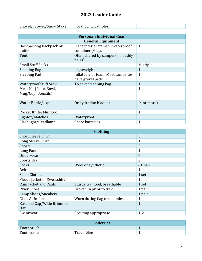| Shovel/Trowel/Snow Stake For digging catholes |  |  |
|-----------------------------------------------|--|--|

| <b>Personal/Individual Gear</b>              |                                                         |                       |  |  |  |  |
|----------------------------------------------|---------------------------------------------------------|-----------------------|--|--|--|--|
|                                              | <b>General Equipment</b>                                |                       |  |  |  |  |
| Backpacking Backpack or                      | Place interior items in waterproof                      | $\mathbf{1}$          |  |  |  |  |
| duffel                                       | containers/bags                                         |                       |  |  |  |  |
| Tent                                         | Often shared by campers in 'buddy<br>pairs'             |                       |  |  |  |  |
| <b>Small Stuff Sacks</b>                     |                                                         | Multiple              |  |  |  |  |
| Sleeping Bag                                 | Lightweight                                             | $\mathbf{1}$          |  |  |  |  |
| Sleeping Pad                                 | Inflatable or foam. Most campsites<br>have gravel pads. | $\mathbf{1}$          |  |  |  |  |
| <b>Waterproof Stuff Sack</b>                 | To cover sleeping bag                                   | $\mathbf{1}$          |  |  |  |  |
| Mess Kit (Plate, Bowl,<br>Mug/Cup, Utensils) |                                                         | $\mathbf{1}$          |  |  |  |  |
| Water Bottle/1 qt.                           | Or hydration bladder                                    | $(4 \text{ or more})$ |  |  |  |  |
| Pocket Knife/Multitool                       |                                                         | $\mathbf{1}$          |  |  |  |  |
| Lighter/Matches                              | Waterproof                                              |                       |  |  |  |  |
| Flashlight/Headlamp                          | Spare batteries                                         | $\mathbf{1}$          |  |  |  |  |

| <b>Clothing</b>                  |                             |                |  |  |
|----------------------------------|-----------------------------|----------------|--|--|
| <b>Short Sleeve Shirt</b>        |                             | 3              |  |  |
| Long Sleeve Shirt                |                             | 1              |  |  |
| Shorts                           |                             | 2              |  |  |
| Long Pants                       |                             | $\mathbf{1}$   |  |  |
| Underwear                        |                             | 6              |  |  |
| Sports Bra                       |                             | $\overline{2}$ |  |  |
| Socks                            | Wool or synthetic           | $6+$ pair      |  |  |
| <b>Belt</b>                      |                             | 1              |  |  |
| <b>Sleep Clothes</b>             |                             | 1 set          |  |  |
| Fleece Jacket or Sweatshirt      |                             | 1              |  |  |
| Rain Jacket and Pants            | Sturdy w/ hood, breathable  | 1 set          |  |  |
| <b>River Shoes</b>               | Broken in prior to trek     | 1 pair         |  |  |
| <b>Camp Shoes/Sneakers</b>       |                             | 1 pair         |  |  |
| Class A Uniform                  | Worn during flag ceremonies | $\mathbf{1}$   |  |  |
| Baseball Cap/Wide Brimmed<br>Hat |                             | $\mathbf{1}$   |  |  |
| Swimwear                         | Scouting appropriate        | $1 - 2$        |  |  |

| <b>Toiletries</b> |             |                          |  |
|-------------------|-------------|--------------------------|--|
| Toothbrush        |             |                          |  |
| Toothpaste        | Travel Size | $\overline{\phantom{a}}$ |  |